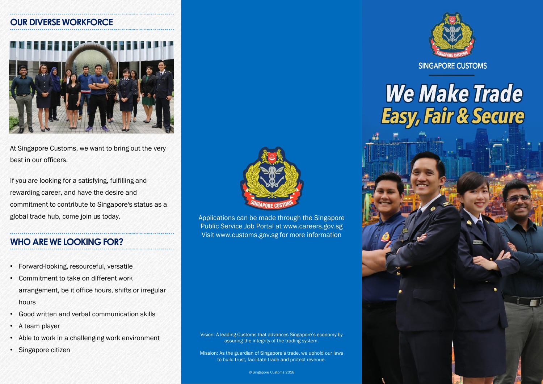#### **OUR DIVERSE WORKFORCE**



At Singapore Customs, we want to bring out the very best in our officers.

If you are looking for a satisfying, fulfilling and rewarding career, and have the desire and commitment to contribute to Singapore's status as a global trade hub, come join us today.

#### **WHO ARE WE LOOKING FOR?**

- Forward-looking, resourceful, versatile
- Commitment to take on different work arrangement, be it office hours, shifts or irregular hours
- Good written and verbal communication skills
- A team player
- Able to work in a challenging work environment
- Singapore citizen



Applications can be made through the Singapore Public Service Job Portal at www.careers.gov.sg Visit www.customs.gov.sg for more information

Vision: A leading Customs that advances Singapore's economy by assuring the integrity of the trading system.

Mission: As the guardian of Singapore's trade, we uphold our laws to build trust, facilitate trade and protect revenue.

© Singapore Customs 2018



**SINGAPORE CUSTOMS** 

# **We Make Trade Easy, Fair & Secure**